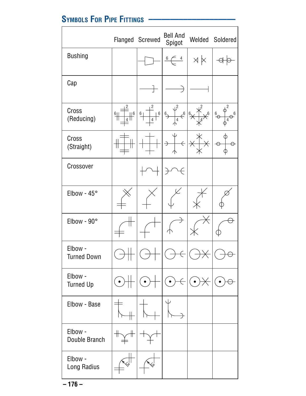## SYMBOLS FOR PIPE FITTINGS -

|                               |                                                   | Flanged Screwed                                    | <b>Bell And</b><br>Spigot                                       |                            | Welded Soldered                            |
|-------------------------------|---------------------------------------------------|----------------------------------------------------|-----------------------------------------------------------------|----------------------------|--------------------------------------------|
| <b>Bushing</b>                |                                                   |                                                    | $\frac{4}{1}$<br>$6\overline{}$                                 | X X                        |                                            |
| Cap                           |                                                   |                                                    |                                                                 |                            |                                            |
| Cross<br>(Reducing)           | $\overline{2}$<br>$\mathbb{H}^6$<br>$\frac{6}{1}$ | 2<br>$\perp^6$<br>6 <sub>1</sub><br>$\overline{4}$ | , 2<br>$\xi^6$<br>$\stackrel{6}{\rightarrow}$<br>$\overline{4}$ | $\xi^6$<br>$6\overline{)}$ | 2<br>$\overset{6}{\ominus}$<br>$\varphi^6$ |
| Cross<br>(Straight)           |                                                   |                                                    | $\leftarrow$<br>→                                               | $\overline{\star}$         | $\Theta$<br>⊖                              |
| Crossover                     |                                                   |                                                    |                                                                 |                            |                                            |
| Elbow - $45^{\circ}$          |                                                   |                                                    |                                                                 |                            |                                            |
| Elbow - $90^\circ$            |                                                   |                                                    |                                                                 |                            |                                            |
| Elbow -<br><b>Turned Down</b> |                                                   |                                                    |                                                                 |                            |                                            |
| Elbow -<br><b>Turned Up</b>   |                                                   |                                                    | $\bullet$                                                       |                            |                                            |
| Elbow - Base                  |                                                   |                                                    |                                                                 |                            |                                            |
| Elbow -<br>Double Branch      | ╫<br>╫                                            |                                                    |                                                                 |                            |                                            |
| Elbow -<br>Long Radius        |                                                   |                                                    |                                                                 |                            |                                            |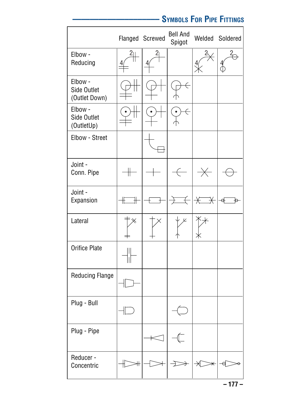## **–––––––––––––––––––– SYMBOLS FOR PIPE FITTINGS**

|                                         |     | Flanged Screwed | <b>Bell And</b><br>Spigot |              | Welded Soldered |
|-----------------------------------------|-----|-----------------|---------------------------|--------------|-----------------|
| Elbow -<br>Reducing                     |     | $\overline{2}$  |                           |              |                 |
| Elbow -<br>Side Outlet<br>(Outlet Down) |     |                 |                           |              |                 |
| Elbow -<br>Side Outlet<br>(OutletUp)    |     |                 |                           |              |                 |
| Elbow - Street                          |     |                 |                           |              |                 |
| Joint -<br>Conn. Pipe                   |     |                 |                           |              |                 |
| Joint -<br>Expansion                    | IE  |                 |                           | $\cancel{+}$ | ੳ               |
| Lateral                                 |     |                 | K                         |              |                 |
| <b>Orifice Plate</b>                    | 111 |                 |                           |              |                 |
| <b>Reducing Flange</b>                  |     |                 |                           |              |                 |
| Plug - Bull                             |     |                 |                           |              |                 |
| Plug - Pipe                             |     |                 |                           |              |                 |
| Reducer -<br>Concentric                 |     |                 |                           |              |                 |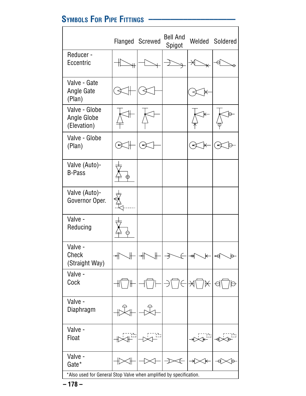# **SYMBOLS FOR PIPE FITTINGS ––––––––––––––––––––**

|                                                                    |   | Flanged Screwed | <b>Bell And</b><br>Spigot |   | Welded Soldered |
|--------------------------------------------------------------------|---|-----------------|---------------------------|---|-----------------|
| Reducer -<br>Eccentric                                             |   |                 |                           |   |                 |
| Valve - Gate<br>Angle Gate<br>(Plan)                               |   |                 |                           |   |                 |
| Valve - Globe<br>Angle Globe<br>(Elevation)                        |   |                 |                           |   |                 |
| Valve - Globe<br>(Plan)                                            |   |                 |                           |   |                 |
| Valve (Auto)-<br><b>B-Pass</b>                                     |   |                 |                           |   |                 |
| Valve (Auto)-<br>Governor Oper.                                    |   |                 |                           |   |                 |
| Valve -<br>Reducing                                                |   |                 |                           |   |                 |
| Valve -<br>Check<br>(Straight Way)                                 | ↰ |                 |                           | ₩ | ⊷e<br>$\Theta$  |
| Valve -<br>Cock                                                    |   |                 |                           |   |                 |
| Valve -<br>Diaphragm                                               |   |                 |                           |   |                 |
| Valve -<br>Float                                                   |   |                 |                           |   |                 |
| Valve -<br>Gate*                                                   |   |                 |                           |   | Ө               |
| *Also used for General Stop Valve when amplified by specification. |   |                 |                           |   |                 |

**– 178 –**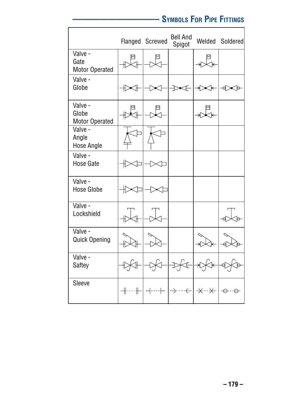# **–––––––––––––––––––– SYMBOLS FOR PIPE FITTINGS**

 $\overline{1}$ 

|                                           |        | Flanged Screwed | <b>Bell And</b><br>Spigot                         | Welded Soldered |
|-------------------------------------------|--------|-----------------|---------------------------------------------------|-----------------|
| Valve -<br>Gate<br><b>Motor Operated</b>  |        |                 |                                                   |                 |
| Valve -<br>Globe                          |        |                 |                                                   |                 |
| Valve -<br>Globe<br><b>Motor Operated</b> |        |                 |                                                   |                 |
| Valve -<br>Angle<br><b>Hose Angle</b>     |        |                 |                                                   |                 |
| Valve -<br>Hose Gate                      |        |                 |                                                   |                 |
| Valve -<br><b>Hose Globe</b>              |        |                 |                                                   |                 |
| Valve -<br>Lockshield                     |        |                 |                                                   |                 |
| Valve -<br><b>Quick Opening</b>           |        |                 |                                                   |                 |
| Valve -<br>Saftey                         |        |                 |                                                   |                 |
| Sleeve                                    | ╶╫╌╌╟╌ |                 | ┤┄┄├╴│ <i>→</i> ╌┄╌ <del>に</del> │ —╳┄┄╳╴│ —⊙╌┄⊖╴ |                 |